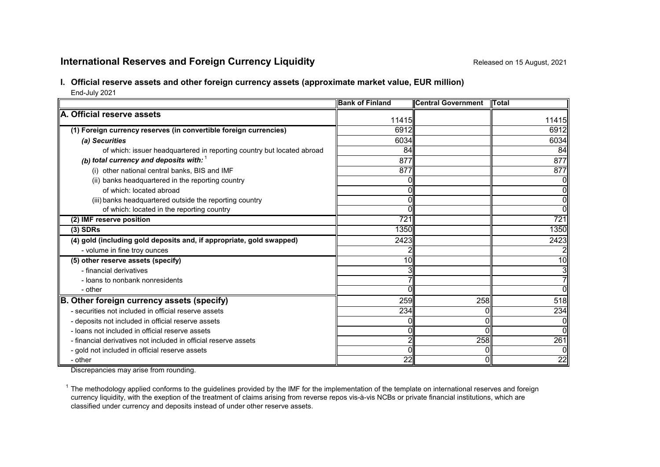# **International Reserves and Foreign Currency Liquidity Repared 2014** Released on 15 August, 2021

## **I. Official reserve assets and other foreign currency assets (approximate market value, EUR million)**

End-July 2021

|                                                                        | <b>Bank of Finland</b> | <b>Central Government</b> | <b>I</b> Total |
|------------------------------------------------------------------------|------------------------|---------------------------|----------------|
| A. Official reserve assets                                             |                        |                           |                |
|                                                                        | 11415                  |                           | 11415          |
| (1) Foreign currency reserves (in convertible foreign currencies)      | 6912                   |                           | 6912           |
| (a) Securities                                                         | 6034                   |                           | 6034           |
| of which: issuer headquartered in reporting country but located abroad | 84                     |                           | 84             |
| (b) total currency and deposits with: $1$                              | 877                    |                           | 877            |
| (i) other national central banks, BIS and IMF                          | 877                    |                           | 877            |
| (ii) banks headquartered in the reporting country                      |                        |                           |                |
| of which: located abroad                                               |                        |                           | 0              |
| (iii) banks headquartered outside the reporting country                |                        |                           | 0              |
| of which: located in the reporting country                             |                        |                           | 0              |
| (2) IMF reserve position                                               | 721                    |                           | 721            |
| $(3)$ SDRs                                                             | 1350                   |                           | 1350           |
| (4) gold (including gold deposits and, if appropriate, gold swapped)   | 2423                   |                           | 2423           |
| - volume in fine troy ounces                                           |                        |                           |                |
| (5) other reserve assets (specify)                                     | 10                     |                           | 10             |
| - financial derivatives                                                | 3                      |                           | 3              |
| - loans to nonbank nonresidents                                        |                        |                           |                |
| - other                                                                |                        |                           | $\Omega$       |
| B. Other foreign currency assets (specify)                             | 259                    | 258                       | 518            |
| - securities not included in official reserve assets                   | 234                    | 0                         | 234            |
| - deposits not included in official reserve assets                     |                        | $\Omega$                  |                |
| - loans not included in official reserve assets                        | ΩI                     | <sup>0</sup>              | $\Omega$       |
| - financial derivatives not included in official reserve assets        | 2                      | 258                       | 261            |
| - gold not included in official reserve assets                         | n                      | 0                         |                |
| - other                                                                | $\overline{22}$        | $\Omega$                  | 22             |

Discrepancies may arise from rounding.

 $1$  The methodology applied conforms to the guidelines provided by the IMF for the implementation of the template on international reserves and foreign currency liquidity, with the exeption of the treatment of claims arising from reverse repos vis-à-vis NCBs or private financial institutions, which are classified under currency and deposits instead of under other reserve assets.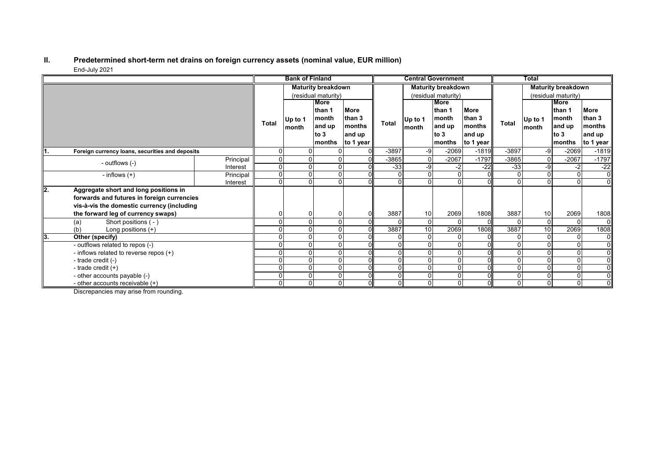#### **II. Predetermined short-term net drains on foreign currency assets (nominal value, EUR million)** End-July 2021

|      |                                                 |                           | <b>Bank of Finland</b> |                  |                           | <b>Central Government</b>              |              |                           | <b>Total</b>    |                     |              |                 |          |                |
|------|-------------------------------------------------|---------------------------|------------------------|------------------|---------------------------|----------------------------------------|--------------|---------------------------|-----------------|---------------------|--------------|-----------------|----------|----------------|
|      |                                                 | <b>Maturity breakdown</b> |                        |                  | <b>Maturity breakdown</b> |                                        |              | <b>Maturity breakdown</b> |                 |                     |              |                 |          |                |
|      |                                                 |                           | (residual maturity)    |                  |                           | (residual maturity)                    |              |                           |                 | (residual maturity) |              |                 |          |                |
|      |                                                 |                           |                        | More             |                           |                                        |              |                           | <b>More</b>     |                     |              |                 | More     |                |
|      |                                                 |                           | <b>Total</b>           | Up to 1<br>month | lthan 1                   | <b>More</b><br>than 3<br><b>months</b> | <b>Total</b> | Up to 1<br>month          | than 1          | <b>More</b>         |              | Up to 1         | than 1   | <b>More</b>    |
|      |                                                 |                           |                        |                  | month                     |                                        |              |                           | month<br>and up | than 3<br>months    | <b>Total</b> |                 | month    | than 3         |
|      |                                                 |                           |                        |                  | and up                    |                                        |              |                           |                 |                     |              | month           | and up   | months         |
|      |                                                 |                           |                        |                  | to $3$                    | and up                                 |              |                           | to $3$          | and up              |              |                 | to 3     | and up         |
|      |                                                 |                           |                        |                  | months                    | to 1 year                              |              |                           | months          | to 1 year           |              |                 | months   | to 1 year      |
| ll1. | Foreign currency loans, securities and deposits |                           | 0                      |                  |                           | $\Omega$                               | -3897        | -9                        | $-2069$         | $-1819$             | $-3897$      | -9              | $-2069$  | $-1819$        |
|      | - outflows (-)                                  | Principal                 | 0                      |                  |                           |                                        | $-3865$      | $\Omega$                  | $-2067$         | $-1797$             | $-3865$      | $\overline{0}$  | $-2067$  | $-1797$        |
|      |                                                 | Interest                  | 0                      |                  |                           |                                        | $-33$        | $-9$                      | -2              | $-22$               | $-33$        | -9              | $-2$     | $-22$          |
|      | - inflows $(+)$                                 | Principal                 | $\Omega$               |                  |                           |                                        |              |                           |                 |                     |              | 0               | $\Omega$ | $\overline{0}$ |
|      |                                                 | Interest                  | 0                      |                  | O                         |                                        | U            |                           |                 |                     |              |                 | $\Omega$ | $\overline{0}$ |
| l2.  | Aggregate short and long positions in           |                           |                        |                  |                           |                                        |              |                           |                 |                     |              |                 |          |                |
|      | forwards and futures in foreign currencies      |                           |                        |                  |                           |                                        |              |                           |                 |                     |              |                 |          |                |
|      | vis-à-vis the domestic currency (including      |                           |                        |                  |                           |                                        |              |                           |                 |                     |              |                 |          |                |
|      | the forward leg of currency swaps)              |                           |                        |                  |                           |                                        | 3887         | 10                        | 2069            | 1808                | 3887         | 10              | 2069     | 1808           |
|      | Short positions (-)<br>(a)                      |                           |                        |                  |                           | ΩI                                     |              | $\Omega$                  |                 |                     |              | $\Omega$        |          | 01             |
|      | Long positions $(+)$<br>(b)                     |                           |                        |                  |                           |                                        | 3887         | 10 <sup>1</sup>           | 2069            | 1808                | 3887         | $\overline{10}$ | 2069     | 1808           |
| 13.  | Other (specify)                                 |                           |                        |                  |                           |                                        |              |                           |                 |                     |              | 0               |          | $\overline{0}$ |
|      | - outflows related to repos (-)                 |                           |                        |                  |                           |                                        |              |                           |                 |                     |              |                 | $\Omega$ | $\overline{0}$ |
|      | - inflows related to reverse repos (+)          |                           |                        |                  |                           |                                        |              |                           |                 |                     |              |                 |          | $\overline{0}$ |
|      | - trade credit (-)                              |                           |                        |                  |                           |                                        |              |                           |                 |                     |              | 0               |          | $\overline{0}$ |
|      | - trade credit $(+)$                            |                           |                        |                  | 0                         | ΩI                                     |              |                           |                 |                     | $\Omega$     | 0               | $\Omega$ | $\overline{0}$ |
|      | - other accounts payable (-)                    |                           |                        |                  |                           |                                        |              |                           |                 |                     | $\mathbf{0}$ | $\Omega$        | $\Omega$ | $\overline{0}$ |
|      | - other accounts receivable $(+)$               |                           | 0                      |                  | $\Omega$                  |                                        | 0            | $\Omega$                  |                 |                     | 0            | $\overline{0}$  | $\Omega$ | $\overline{0}$ |

Discrepancies may arise from rounding.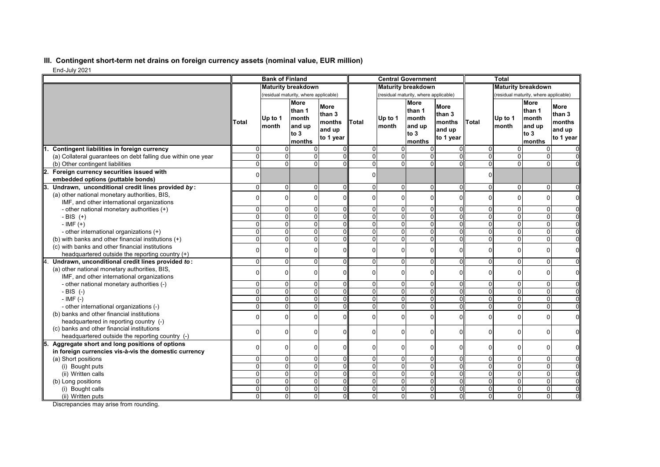## **III. Contingent short-term net drains on foreign currency assets (nominal value, EUR million)**

End-July 2021

| Liiu-July 2021                                                                        |                           | <b>Bank of Finland</b>                |                                                              |                                                        |                            |                      | <b>Central Government</b>                                  |                                                        |                     | <b>Total</b>                          |                                                            |                                                        |
|---------------------------------------------------------------------------------------|---------------------------|---------------------------------------|--------------------------------------------------------------|--------------------------------------------------------|----------------------------|----------------------|------------------------------------------------------------|--------------------------------------------------------|---------------------|---------------------------------------|------------------------------------------------------------|--------------------------------------------------------|
|                                                                                       | <b>Maturity breakdown</b> |                                       |                                                              | <b>Maturity breakdown</b>                              |                            |                      | <b>Maturity breakdown</b>                                  |                                                        |                     |                                       |                                                            |                                                        |
|                                                                                       |                           | (residual maturity, where applicable) |                                                              |                                                        |                            |                      | (residual maturity, where applicable)                      |                                                        |                     | (residual maturity, where applicable) |                                                            |                                                        |
|                                                                                       | Total                     | Up to 1<br>Imonth                     | <b>More</b><br>than 1<br>month<br>and up<br>to $3$<br>months | <b>More</b><br>than 3<br>months<br>and up<br>to 1 year | Total                      | Up to 1<br>month     | <b>More</b><br>than 1<br>month<br>and up<br>to 3<br>months | <b>More</b><br>than 3<br>months<br>and up<br>to 1 year | <b>Total</b>        | Up to 1<br>month                      | <b>More</b><br>than 1<br>month<br>and up<br>to 3<br>months | <b>More</b><br>than 3<br>months<br>and up<br>to 1 year |
| Contingent liabilities in foreign currency                                            | $\Omega$                  | $\Omega$                              | $\Omega$                                                     |                                                        | $\Omega$                   | $\Omega$             | 0                                                          |                                                        | $\Omega$            | 0                                     | 0                                                          |                                                        |
| (a) Collateral quarantees on debt falling due within one year                         | $\Omega$                  | $\Omega$                              | $\Omega$                                                     | ΩI                                                     | $\Omega$                   | $\Omega$             | 0                                                          | O                                                      | $\Omega$            | $\overline{0}$                        | $\mathbf 0$                                                |                                                        |
| (b) Other contingent liabilities                                                      | $\Omega$                  | $\Omega$                              | $\Omega$                                                     | ΩI                                                     | $\overline{0}$             | $\overline{0}$       | $\mathbf 0$                                                | 0                                                      | $\overline{0}$      | $\overline{0}$                        | $\mathbf 0$                                                |                                                        |
| Foreign currency securities issued with<br>12.                                        | $\Omega$                  |                                       |                                                              |                                                        | $\Omega$                   |                      |                                                            |                                                        | $\Omega$            |                                       |                                                            |                                                        |
| embedded options (puttable bonds)                                                     |                           |                                       |                                                              |                                                        |                            |                      |                                                            |                                                        |                     |                                       |                                                            |                                                        |
| Undrawn, unconditional credit lines provided by:                                      | $\Omega$                  | $\Omega$                              | $\Omega$                                                     | $\Omega$                                               | $\overline{0}$             | $\Omega$             | $\mathbf 0$                                                | $\Omega$                                               | $\overline{0}$      | 0                                     | $\mathbf 0$                                                | $\Omega$                                               |
| (a) other national monetary authorities, BIS,                                         | $\Omega$                  | $\Omega$                              | $\Omega$                                                     | $\Omega$                                               | $\Omega$                   | $\Omega$             | 0                                                          | $\Omega$                                               | $\Omega$            | $\Omega$                              | 0                                                          | $\Omega$                                               |
| IMF, and other international organizations                                            |                           |                                       |                                                              |                                                        |                            |                      |                                                            |                                                        |                     |                                       |                                                            |                                                        |
| - other national monetary authorities (+)                                             | $\Omega$                  | $\Omega$                              | $\Omega$                                                     | $\Omega$                                               | $\Omega$                   | $\overline{0}$       | 0                                                          | 0                                                      | 0                   | $\overline{0}$                        | $\mathbf 0$                                                |                                                        |
| - BIS $(+)$                                                                           | $\Omega$                  | $\Omega$                              | $\Omega$                                                     | $\Omega$                                               | $\overline{0}$             | $\overline{0}$       | $\mathbf 0$                                                | $\Omega$                                               | 0                   | $\overline{0}$                        | $\overline{0}$                                             | $\Omega$                                               |
| $-IMF (+)$                                                                            | $\Omega$                  | $\Omega$                              | $\Omega$                                                     | $\Omega$                                               | $\Omega$                   | $\Omega$             | 0                                                          | $\Omega$                                               | $\mathbf{0}$        | $\overline{0}$                        | 0                                                          | $\Omega$                                               |
| - other international organizations (+)                                               | $\Omega$                  | $\Omega$                              | $\Omega$                                                     | ΩI                                                     | $\Omega$                   | $\Omega$             | 0                                                          |                                                        | $\Omega$            | $\Omega$                              | 0                                                          | $\Omega$                                               |
| (b) with banks and other financial institutions (+)                                   | $\Omega$                  | $\Omega$                              | $\Omega$                                                     | $\Omega$                                               | $\Omega$                   | $\overline{0}$       | 0                                                          | $\Omega$                                               | $\overline{0}$      | $\overline{0}$                        | $\mathbf 0$                                                | 0                                                      |
| (c) with banks and other financial institutions                                       | $\Omega$                  | $\Omega$                              | $\Omega$                                                     | $\Omega$                                               | $\Omega$                   | $\Omega$             | 0                                                          | $\Omega$                                               | $\overline{0}$      | 0                                     | $\mathbf 0$                                                | 0                                                      |
| headquartered outside the reporting country (+)                                       |                           |                                       |                                                              |                                                        |                            |                      |                                                            |                                                        |                     |                                       |                                                            |                                                        |
| Undrawn, unconditional credit lines provided to:                                      | $\Omega$                  | $\Omega$                              | $\Omega$                                                     | $\Omega$                                               | $\Omega$                   | $\Omega$             | $\Omega$                                                   | $\Omega$                                               | 0                   | 0                                     | 0                                                          | $\Omega$                                               |
| (a) other national monetary authorities, BIS,                                         | $\Omega$                  | $\Omega$                              | $\Omega$                                                     | $\Omega$                                               | $\Omega$                   | $\Omega$             | 0                                                          | $\Omega$                                               | $\overline{0}$      | 0                                     | $\mathbf 0$                                                | 0                                                      |
| IMF, and other international organizations                                            |                           |                                       |                                                              |                                                        |                            |                      |                                                            |                                                        |                     |                                       |                                                            |                                                        |
| - other national monetary authorities (-)                                             | $\Omega$<br>$\Omega$      | $\Omega$<br>$\Omega$                  | $\Omega$<br>$\Omega$                                         | 0<br>$\Omega$                                          | $\Omega$<br>$\overline{0}$ | $\Omega$             | 0<br>$\mathbf 0$                                           | 0<br>$\Omega$                                          | 0<br>$\overline{0}$ | $\overline{0}$                        | $\mathbf 0$                                                | $\Omega$<br>$\Omega$                                   |
| $-BIS$ (-)                                                                            | $\Omega$                  | $\Omega$                              | $\overline{0}$                                               |                                                        | $\Omega$                   | $\mathbf{0}$         | $\Omega$                                                   | 0                                                      | $\mathbf{0}$        | $\overline{0}$<br>$\overline{0}$      | 0<br>$\overline{0}$                                        | $\overline{0}$                                         |
| $-$ IMF $(-)$                                                                         | $\Omega$                  | $\Omega$                              | $\Omega$                                                     | $\Omega$<br>ΩI                                         | $\Omega$                   | $\Omega$<br>$\Omega$ | 0                                                          | U                                                      | $\Omega$            | $\overline{0}$                        | 0                                                          | $\Omega$                                               |
| - other international organizations (-)<br>(b) banks and other financial institutions |                           |                                       |                                                              |                                                        |                            |                      |                                                            |                                                        |                     |                                       |                                                            |                                                        |
| headquartered in reporting country (-)                                                | $\Omega$                  | $\Omega$                              | $\Omega$                                                     | $\Omega$                                               | 0                          | $\Omega$             | 0                                                          | n                                                      | $\overline{0}$      | 0                                     | $\mathbf 0$                                                | $\mathbf 0$                                            |
| (c) banks and other financial institutions                                            |                           |                                       |                                                              |                                                        |                            |                      |                                                            |                                                        |                     |                                       |                                                            |                                                        |
| headquartered outside the reporting country (-)                                       | U                         | $\Omega$                              | $\Omega$                                                     | $\Omega$                                               | $\Omega$                   | $\mathbf{0}$         | O                                                          | U                                                      | $\Omega$            | 0                                     | $\Omega$                                                   | $\Omega$                                               |
| Aggregate short and long positions of options                                         |                           |                                       |                                                              |                                                        |                            |                      |                                                            |                                                        |                     |                                       |                                                            |                                                        |
| in foreign currencies vis-à-vis the domestic currency                                 | $\Omega$                  | $\Omega$                              | $\Omega$                                                     | $\mathbf 0$                                            | $\Omega$                   | $\overline{0}$       | 0                                                          | $\Omega$                                               | $\overline{0}$      | 0                                     | 0                                                          | $\Omega$                                               |
| (a) Short positions                                                                   | $\Omega$                  | $\Omega$                              | $\Omega$                                                     | $\Omega$                                               | $\Omega$                   | $\overline{0}$       | 0                                                          | n                                                      | $\overline{0}$      | $\overline{0}$                        | 0                                                          | $\Omega$                                               |
| (i) Bought puts                                                                       | $\Omega$                  | $\Omega$                              | $\Omega$                                                     | $\Omega$                                               | $\Omega$                   | $\overline{0}$       | $\mathbf 0$                                                | $\Omega$                                               | $\overline{0}$      | $\overline{0}$                        | 0                                                          | $\Omega$                                               |
| (ii) Written calls                                                                    | $\overline{0}$            | $\overline{0}$                        | $\overline{0}$                                               | $\Omega$                                               | 0                          | $\Omega$             | $\Omega$                                                   | O                                                      | $\overline{0}$      | $\overline{0}$                        | $\overline{0}$                                             | $\overline{0}$                                         |
| (b) Long positions                                                                    | $\Omega$                  | $\Omega$                              | $\Omega$                                                     | ΩI                                                     | $\Omega$                   | $\Omega$             | $\Omega$                                                   | $\Omega$                                               | $\Omega$            | $\overline{0}$                        | 0                                                          | $\Omega$                                               |
| (i) Bought calls                                                                      | $\Omega$                  | $\Omega$                              | $\Omega$                                                     | $\Omega$                                               | $\Omega$                   | $\overline{0}$       | 0                                                          | $\Omega$                                               | $\overline{0}$      | $\overline{0}$                        | 0                                                          | $\Omega$                                               |
| (ii) Written puts                                                                     | $\Omega$                  | $\Omega$                              | $\Omega$                                                     | $\mathbf 0$                                            | $\Omega$                   | $\mathsf{o}$         | $\overline{0}$                                             | $\Omega$                                               | $\Omega$            | $\overline{0}$                        | 0                                                          | $\Omega$                                               |

Discrepancies may arise from rounding.